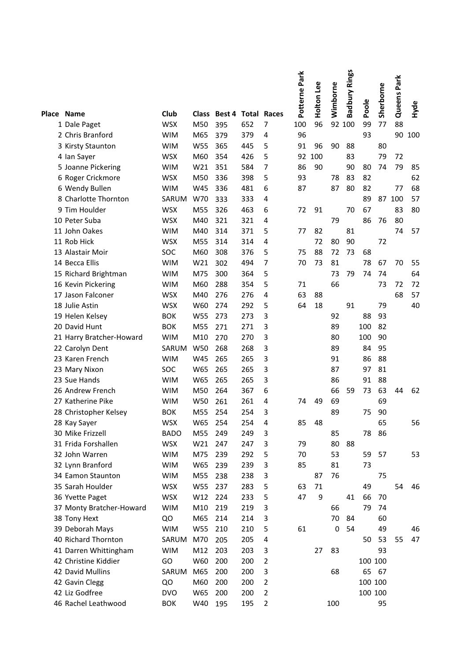| Place Name<br>Club<br>Class Best 4 Total Races<br>$\overline{7}$<br>96<br>92 100<br>77<br>88<br><b>WSX</b><br>M50<br>652<br>100<br>99<br>1 Dale Paget<br>395<br>379<br>93<br>2 Chris Branford<br><b>WIM</b><br>M65<br>379<br>96<br>90<br>100<br>4<br><b>WIM</b><br>W55<br>365<br>445<br>5<br>91<br>96<br>90<br>88<br>3 Kirsty Staunton<br>80<br><b>WSX</b><br>M60<br>354<br>426<br>5<br>92<br>100<br>83<br>79<br>72<br>4 Ian Sayer<br>7<br>85<br>351<br>584<br>86<br>90<br>79<br>5 Joanne Pickering<br><b>WIM</b><br>W21<br>90<br>80<br>74<br>5<br>62<br><b>WSX</b><br>M50<br>398<br>93<br>83<br>82<br>6 Roger Crickmore<br>336<br>78<br>68<br><b>WIM</b><br>W45<br>481<br>6<br>87<br>80<br>82<br>77<br>6 Wendy Bullen<br>336<br>87<br>89<br>87 100<br>57<br>8 Charlotte Thornton<br>SARUM<br>W70<br>333<br>333<br>4<br>9 Tim Houlder<br><b>WSX</b><br>M55<br>326<br>463<br>6<br>91<br>70<br>67<br>83<br>80<br>72<br>10 Peter Suba<br><b>WSX</b><br>M40<br>321<br>321<br>79<br>86<br>76<br>80<br>4<br>11 John Oakes<br><b>WIM</b><br>M40<br>314<br>371<br>5<br>77<br>82<br>81<br>74<br>57<br>72<br>11 Rob Hick<br><b>WSX</b><br>M55<br>314<br>4<br>72<br>80<br>90<br>314<br>M60<br>376<br>5<br>75<br>88<br>72<br>68<br>13 Alastair Moir<br>SOC<br>308<br>73<br>7<br>14 Becca Ellis<br><b>WIM</b><br>W21<br>302<br>494<br>70<br>73<br>81<br>78<br>70<br>55<br>67<br>64<br>15 Richard Brightman<br><b>WIM</b><br>M75<br>300<br>364<br>5<br>73<br>79<br>74<br>74<br>288<br>5<br>66<br>72<br>16 Kevin Pickering<br><b>WIM</b><br>M60<br>354<br>71<br>73<br>72<br>57<br>17 Jason Falconer<br>M40<br>276<br>4<br>63<br>88<br>68<br><b>WSX</b><br>276<br>40<br>18 Julie Astin<br><b>WSX</b><br>W60<br>292<br>5<br>64<br>18<br>91<br>79<br>274<br>19 Helen Kelsey<br><b>BOK</b><br>W55<br>273<br>273<br>3<br>92<br>88<br>93<br>3<br>20 David Hunt<br><b>BOK</b><br>M55<br>271<br>271<br>89<br>100<br>82<br>3<br><b>WIM</b><br>M10<br>270<br>270<br>21 Harry Bratcher-Howard<br>80<br>100<br>90<br>3<br>SARUM<br>W50<br>268<br>268<br>89<br>84<br>22 Carolyn Dent<br>95<br>3<br>23 Karen French<br><b>WIM</b><br>W45<br>265<br>91<br>86<br>88<br>265<br>3<br>SOC<br>W65<br>265<br>87<br>81<br>23 Mary Nixon<br>265<br>97<br>23 Sue Hands<br><b>WIM</b><br>W65<br>265<br>265<br>3<br>88<br>86<br>91<br>26 Andrew French<br>M50<br>367<br>6<br>66<br>73<br>63<br>62<br><b>WIM</b><br>264<br>59<br>44<br>27 Katherine Pike<br>W50<br>261<br>261<br>49<br>69<br>69<br><b>WIM</b><br>4<br>74<br>254<br>254<br>3<br>89<br>90<br><b>BOK</b><br>M55<br>75<br>28 Christopher Kelsey<br>28 Kay Sayer<br><b>WSX</b><br>W65<br>254<br>254<br>4<br>85<br>48<br>65<br>56<br>30 Mike Frizzell<br>M55<br>85<br>78<br>86<br><b>BADO</b><br>249<br>249<br>3<br>80<br>31 Frida Forshallen<br><b>WSX</b><br>W21<br>3<br>79<br>88<br>247<br>247<br>239<br>5<br>53<br>53<br>32 John Warren<br><b>WIM</b><br>M75<br>292<br>70<br>59<br>57<br>3<br>32 Lynn Branford<br><b>WIM</b><br>W65<br>239<br>239<br>85<br>81<br>73<br>34 Eamon Staunton<br><b>WIM</b><br>M55<br>3<br>76<br>75<br>238<br>238<br>87<br>35 Sarah Houlder<br>W55<br>283<br>5<br>63<br>71<br>49<br>54<br>46<br><b>WSX</b><br>237<br>5<br>W12<br>47<br>9<br>36 Yvette Paget<br><b>WSX</b><br>224<br>233<br>41<br>66<br>70<br>3<br>37 Monty Bratcher-Howard<br><b>WIM</b><br>M10<br>219<br>219<br>79<br>66<br>74<br>QO<br>M65<br>214<br>70<br>60<br>38 Tony Hext<br>214<br>3<br>84<br>39 Deborah Mays<br>5<br>61<br>0<br>54<br>49<br><b>WIM</b><br>W55<br>210<br>210<br>46<br>40 Richard Thornton<br>205<br>4<br>53<br>47<br>SARUM<br>M70<br>205<br>50<br>55<br>41 Darren Whittingham<br><b>WIM</b><br>M12<br>203<br>3<br>83<br>93<br>203<br>27<br>42 Christine Kiddier<br>GO<br>W60<br>$\overline{2}$<br>200<br>200<br>100 100<br>$\mathsf 3$<br>42 David Mullins<br>M65<br>200<br>200<br>68<br>65<br>SARUM<br>67<br>42 Gavin Clegg<br>M60<br>$\overline{2}$<br>100 100<br>QO<br>200<br>200<br>42 Liz Godfree<br><b>DVO</b><br>$\overline{c}$<br>100 100<br>W65<br>200<br>200 |                     |            |     |     |     |                | Potterne Park | Holton Lee | Wimborne | <b>Badbury Rings</b> | Poole | Sherborne | Queens Park |      |
|--------------------------------------------------------------------------------------------------------------------------------------------------------------------------------------------------------------------------------------------------------------------------------------------------------------------------------------------------------------------------------------------------------------------------------------------------------------------------------------------------------------------------------------------------------------------------------------------------------------------------------------------------------------------------------------------------------------------------------------------------------------------------------------------------------------------------------------------------------------------------------------------------------------------------------------------------------------------------------------------------------------------------------------------------------------------------------------------------------------------------------------------------------------------------------------------------------------------------------------------------------------------------------------------------------------------------------------------------------------------------------------------------------------------------------------------------------------------------------------------------------------------------------------------------------------------------------------------------------------------------------------------------------------------------------------------------------------------------------------------------------------------------------------------------------------------------------------------------------------------------------------------------------------------------------------------------------------------------------------------------------------------------------------------------------------------------------------------------------------------------------------------------------------------------------------------------------------------------------------------------------------------------------------------------------------------------------------------------------------------------------------------------------------------------------------------------------------------------------------------------------------------------------------------------------------------------------------------------------------------------------------------------------------------------------------------------------------------------------------------------------------------------------------------------------------------------------------------------------------------------------------------------------------------------------------------------------------------------------------------------------------------------------------------------------------------------------------------------------------------------------------------------------------------------------------------------------------------------------------------------------------------------------------------------------------------------------------------------------------------------------------------------------------------------------------------------------------------------------------------------------------------------------------------------------------------------------------------------------------------------------------------------------------------------------------------------------------------------------------------------------------------------------------------------------------------------------------------------------------------------------------------------------------------------------------------------------------------------------------------------------------|---------------------|------------|-----|-----|-----|----------------|---------------|------------|----------|----------------------|-------|-----------|-------------|------|
|                                                                                                                                                                                                                                                                                                                                                                                                                                                                                                                                                                                                                                                                                                                                                                                                                                                                                                                                                                                                                                                                                                                                                                                                                                                                                                                                                                                                                                                                                                                                                                                                                                                                                                                                                                                                                                                                                                                                                                                                                                                                                                                                                                                                                                                                                                                                                                                                                                                                                                                                                                                                                                                                                                                                                                                                                                                                                                                                                                                                                                                                                                                                                                                                                                                                                                                                                                                                                                                                                                                                                                                                                                                                                                                                                                                                                                                                                                                                                                                                              |                     |            |     |     |     |                |               |            |          |                      |       |           |             | Hyde |
|                                                                                                                                                                                                                                                                                                                                                                                                                                                                                                                                                                                                                                                                                                                                                                                                                                                                                                                                                                                                                                                                                                                                                                                                                                                                                                                                                                                                                                                                                                                                                                                                                                                                                                                                                                                                                                                                                                                                                                                                                                                                                                                                                                                                                                                                                                                                                                                                                                                                                                                                                                                                                                                                                                                                                                                                                                                                                                                                                                                                                                                                                                                                                                                                                                                                                                                                                                                                                                                                                                                                                                                                                                                                                                                                                                                                                                                                                                                                                                                                              |                     |            |     |     |     |                |               |            |          |                      |       |           |             |      |
|                                                                                                                                                                                                                                                                                                                                                                                                                                                                                                                                                                                                                                                                                                                                                                                                                                                                                                                                                                                                                                                                                                                                                                                                                                                                                                                                                                                                                                                                                                                                                                                                                                                                                                                                                                                                                                                                                                                                                                                                                                                                                                                                                                                                                                                                                                                                                                                                                                                                                                                                                                                                                                                                                                                                                                                                                                                                                                                                                                                                                                                                                                                                                                                                                                                                                                                                                                                                                                                                                                                                                                                                                                                                                                                                                                                                                                                                                                                                                                                                              |                     |            |     |     |     |                |               |            |          |                      |       |           |             |      |
|                                                                                                                                                                                                                                                                                                                                                                                                                                                                                                                                                                                                                                                                                                                                                                                                                                                                                                                                                                                                                                                                                                                                                                                                                                                                                                                                                                                                                                                                                                                                                                                                                                                                                                                                                                                                                                                                                                                                                                                                                                                                                                                                                                                                                                                                                                                                                                                                                                                                                                                                                                                                                                                                                                                                                                                                                                                                                                                                                                                                                                                                                                                                                                                                                                                                                                                                                                                                                                                                                                                                                                                                                                                                                                                                                                                                                                                                                                                                                                                                              |                     |            |     |     |     |                |               |            |          |                      |       |           |             |      |
|                                                                                                                                                                                                                                                                                                                                                                                                                                                                                                                                                                                                                                                                                                                                                                                                                                                                                                                                                                                                                                                                                                                                                                                                                                                                                                                                                                                                                                                                                                                                                                                                                                                                                                                                                                                                                                                                                                                                                                                                                                                                                                                                                                                                                                                                                                                                                                                                                                                                                                                                                                                                                                                                                                                                                                                                                                                                                                                                                                                                                                                                                                                                                                                                                                                                                                                                                                                                                                                                                                                                                                                                                                                                                                                                                                                                                                                                                                                                                                                                              |                     |            |     |     |     |                |               |            |          |                      |       |           |             |      |
|                                                                                                                                                                                                                                                                                                                                                                                                                                                                                                                                                                                                                                                                                                                                                                                                                                                                                                                                                                                                                                                                                                                                                                                                                                                                                                                                                                                                                                                                                                                                                                                                                                                                                                                                                                                                                                                                                                                                                                                                                                                                                                                                                                                                                                                                                                                                                                                                                                                                                                                                                                                                                                                                                                                                                                                                                                                                                                                                                                                                                                                                                                                                                                                                                                                                                                                                                                                                                                                                                                                                                                                                                                                                                                                                                                                                                                                                                                                                                                                                              |                     |            |     |     |     |                |               |            |          |                      |       |           |             |      |
|                                                                                                                                                                                                                                                                                                                                                                                                                                                                                                                                                                                                                                                                                                                                                                                                                                                                                                                                                                                                                                                                                                                                                                                                                                                                                                                                                                                                                                                                                                                                                                                                                                                                                                                                                                                                                                                                                                                                                                                                                                                                                                                                                                                                                                                                                                                                                                                                                                                                                                                                                                                                                                                                                                                                                                                                                                                                                                                                                                                                                                                                                                                                                                                                                                                                                                                                                                                                                                                                                                                                                                                                                                                                                                                                                                                                                                                                                                                                                                                                              |                     |            |     |     |     |                |               |            |          |                      |       |           |             |      |
|                                                                                                                                                                                                                                                                                                                                                                                                                                                                                                                                                                                                                                                                                                                                                                                                                                                                                                                                                                                                                                                                                                                                                                                                                                                                                                                                                                                                                                                                                                                                                                                                                                                                                                                                                                                                                                                                                                                                                                                                                                                                                                                                                                                                                                                                                                                                                                                                                                                                                                                                                                                                                                                                                                                                                                                                                                                                                                                                                                                                                                                                                                                                                                                                                                                                                                                                                                                                                                                                                                                                                                                                                                                                                                                                                                                                                                                                                                                                                                                                              |                     |            |     |     |     |                |               |            |          |                      |       |           |             |      |
|                                                                                                                                                                                                                                                                                                                                                                                                                                                                                                                                                                                                                                                                                                                                                                                                                                                                                                                                                                                                                                                                                                                                                                                                                                                                                                                                                                                                                                                                                                                                                                                                                                                                                                                                                                                                                                                                                                                                                                                                                                                                                                                                                                                                                                                                                                                                                                                                                                                                                                                                                                                                                                                                                                                                                                                                                                                                                                                                                                                                                                                                                                                                                                                                                                                                                                                                                                                                                                                                                                                                                                                                                                                                                                                                                                                                                                                                                                                                                                                                              |                     |            |     |     |     |                |               |            |          |                      |       |           |             |      |
|                                                                                                                                                                                                                                                                                                                                                                                                                                                                                                                                                                                                                                                                                                                                                                                                                                                                                                                                                                                                                                                                                                                                                                                                                                                                                                                                                                                                                                                                                                                                                                                                                                                                                                                                                                                                                                                                                                                                                                                                                                                                                                                                                                                                                                                                                                                                                                                                                                                                                                                                                                                                                                                                                                                                                                                                                                                                                                                                                                                                                                                                                                                                                                                                                                                                                                                                                                                                                                                                                                                                                                                                                                                                                                                                                                                                                                                                                                                                                                                                              |                     |            |     |     |     |                |               |            |          |                      |       |           |             |      |
|                                                                                                                                                                                                                                                                                                                                                                                                                                                                                                                                                                                                                                                                                                                                                                                                                                                                                                                                                                                                                                                                                                                                                                                                                                                                                                                                                                                                                                                                                                                                                                                                                                                                                                                                                                                                                                                                                                                                                                                                                                                                                                                                                                                                                                                                                                                                                                                                                                                                                                                                                                                                                                                                                                                                                                                                                                                                                                                                                                                                                                                                                                                                                                                                                                                                                                                                                                                                                                                                                                                                                                                                                                                                                                                                                                                                                                                                                                                                                                                                              |                     |            |     |     |     |                |               |            |          |                      |       |           |             |      |
|                                                                                                                                                                                                                                                                                                                                                                                                                                                                                                                                                                                                                                                                                                                                                                                                                                                                                                                                                                                                                                                                                                                                                                                                                                                                                                                                                                                                                                                                                                                                                                                                                                                                                                                                                                                                                                                                                                                                                                                                                                                                                                                                                                                                                                                                                                                                                                                                                                                                                                                                                                                                                                                                                                                                                                                                                                                                                                                                                                                                                                                                                                                                                                                                                                                                                                                                                                                                                                                                                                                                                                                                                                                                                                                                                                                                                                                                                                                                                                                                              |                     |            |     |     |     |                |               |            |          |                      |       |           |             |      |
|                                                                                                                                                                                                                                                                                                                                                                                                                                                                                                                                                                                                                                                                                                                                                                                                                                                                                                                                                                                                                                                                                                                                                                                                                                                                                                                                                                                                                                                                                                                                                                                                                                                                                                                                                                                                                                                                                                                                                                                                                                                                                                                                                                                                                                                                                                                                                                                                                                                                                                                                                                                                                                                                                                                                                                                                                                                                                                                                                                                                                                                                                                                                                                                                                                                                                                                                                                                                                                                                                                                                                                                                                                                                                                                                                                                                                                                                                                                                                                                                              |                     |            |     |     |     |                |               |            |          |                      |       |           |             |      |
|                                                                                                                                                                                                                                                                                                                                                                                                                                                                                                                                                                                                                                                                                                                                                                                                                                                                                                                                                                                                                                                                                                                                                                                                                                                                                                                                                                                                                                                                                                                                                                                                                                                                                                                                                                                                                                                                                                                                                                                                                                                                                                                                                                                                                                                                                                                                                                                                                                                                                                                                                                                                                                                                                                                                                                                                                                                                                                                                                                                                                                                                                                                                                                                                                                                                                                                                                                                                                                                                                                                                                                                                                                                                                                                                                                                                                                                                                                                                                                                                              |                     |            |     |     |     |                |               |            |          |                      |       |           |             |      |
|                                                                                                                                                                                                                                                                                                                                                                                                                                                                                                                                                                                                                                                                                                                                                                                                                                                                                                                                                                                                                                                                                                                                                                                                                                                                                                                                                                                                                                                                                                                                                                                                                                                                                                                                                                                                                                                                                                                                                                                                                                                                                                                                                                                                                                                                                                                                                                                                                                                                                                                                                                                                                                                                                                                                                                                                                                                                                                                                                                                                                                                                                                                                                                                                                                                                                                                                                                                                                                                                                                                                                                                                                                                                                                                                                                                                                                                                                                                                                                                                              |                     |            |     |     |     |                |               |            |          |                      |       |           |             |      |
|                                                                                                                                                                                                                                                                                                                                                                                                                                                                                                                                                                                                                                                                                                                                                                                                                                                                                                                                                                                                                                                                                                                                                                                                                                                                                                                                                                                                                                                                                                                                                                                                                                                                                                                                                                                                                                                                                                                                                                                                                                                                                                                                                                                                                                                                                                                                                                                                                                                                                                                                                                                                                                                                                                                                                                                                                                                                                                                                                                                                                                                                                                                                                                                                                                                                                                                                                                                                                                                                                                                                                                                                                                                                                                                                                                                                                                                                                                                                                                                                              |                     |            |     |     |     |                |               |            |          |                      |       |           |             |      |
|                                                                                                                                                                                                                                                                                                                                                                                                                                                                                                                                                                                                                                                                                                                                                                                                                                                                                                                                                                                                                                                                                                                                                                                                                                                                                                                                                                                                                                                                                                                                                                                                                                                                                                                                                                                                                                                                                                                                                                                                                                                                                                                                                                                                                                                                                                                                                                                                                                                                                                                                                                                                                                                                                                                                                                                                                                                                                                                                                                                                                                                                                                                                                                                                                                                                                                                                                                                                                                                                                                                                                                                                                                                                                                                                                                                                                                                                                                                                                                                                              |                     |            |     |     |     |                |               |            |          |                      |       |           |             |      |
|                                                                                                                                                                                                                                                                                                                                                                                                                                                                                                                                                                                                                                                                                                                                                                                                                                                                                                                                                                                                                                                                                                                                                                                                                                                                                                                                                                                                                                                                                                                                                                                                                                                                                                                                                                                                                                                                                                                                                                                                                                                                                                                                                                                                                                                                                                                                                                                                                                                                                                                                                                                                                                                                                                                                                                                                                                                                                                                                                                                                                                                                                                                                                                                                                                                                                                                                                                                                                                                                                                                                                                                                                                                                                                                                                                                                                                                                                                                                                                                                              |                     |            |     |     |     |                |               |            |          |                      |       |           |             |      |
|                                                                                                                                                                                                                                                                                                                                                                                                                                                                                                                                                                                                                                                                                                                                                                                                                                                                                                                                                                                                                                                                                                                                                                                                                                                                                                                                                                                                                                                                                                                                                                                                                                                                                                                                                                                                                                                                                                                                                                                                                                                                                                                                                                                                                                                                                                                                                                                                                                                                                                                                                                                                                                                                                                                                                                                                                                                                                                                                                                                                                                                                                                                                                                                                                                                                                                                                                                                                                                                                                                                                                                                                                                                                                                                                                                                                                                                                                                                                                                                                              |                     |            |     |     |     |                |               |            |          |                      |       |           |             |      |
|                                                                                                                                                                                                                                                                                                                                                                                                                                                                                                                                                                                                                                                                                                                                                                                                                                                                                                                                                                                                                                                                                                                                                                                                                                                                                                                                                                                                                                                                                                                                                                                                                                                                                                                                                                                                                                                                                                                                                                                                                                                                                                                                                                                                                                                                                                                                                                                                                                                                                                                                                                                                                                                                                                                                                                                                                                                                                                                                                                                                                                                                                                                                                                                                                                                                                                                                                                                                                                                                                                                                                                                                                                                                                                                                                                                                                                                                                                                                                                                                              |                     |            |     |     |     |                |               |            |          |                      |       |           |             |      |
|                                                                                                                                                                                                                                                                                                                                                                                                                                                                                                                                                                                                                                                                                                                                                                                                                                                                                                                                                                                                                                                                                                                                                                                                                                                                                                                                                                                                                                                                                                                                                                                                                                                                                                                                                                                                                                                                                                                                                                                                                                                                                                                                                                                                                                                                                                                                                                                                                                                                                                                                                                                                                                                                                                                                                                                                                                                                                                                                                                                                                                                                                                                                                                                                                                                                                                                                                                                                                                                                                                                                                                                                                                                                                                                                                                                                                                                                                                                                                                                                              |                     |            |     |     |     |                |               |            |          |                      |       |           |             |      |
|                                                                                                                                                                                                                                                                                                                                                                                                                                                                                                                                                                                                                                                                                                                                                                                                                                                                                                                                                                                                                                                                                                                                                                                                                                                                                                                                                                                                                                                                                                                                                                                                                                                                                                                                                                                                                                                                                                                                                                                                                                                                                                                                                                                                                                                                                                                                                                                                                                                                                                                                                                                                                                                                                                                                                                                                                                                                                                                                                                                                                                                                                                                                                                                                                                                                                                                                                                                                                                                                                                                                                                                                                                                                                                                                                                                                                                                                                                                                                                                                              |                     |            |     |     |     |                |               |            |          |                      |       |           |             |      |
|                                                                                                                                                                                                                                                                                                                                                                                                                                                                                                                                                                                                                                                                                                                                                                                                                                                                                                                                                                                                                                                                                                                                                                                                                                                                                                                                                                                                                                                                                                                                                                                                                                                                                                                                                                                                                                                                                                                                                                                                                                                                                                                                                                                                                                                                                                                                                                                                                                                                                                                                                                                                                                                                                                                                                                                                                                                                                                                                                                                                                                                                                                                                                                                                                                                                                                                                                                                                                                                                                                                                                                                                                                                                                                                                                                                                                                                                                                                                                                                                              |                     |            |     |     |     |                |               |            |          |                      |       |           |             |      |
|                                                                                                                                                                                                                                                                                                                                                                                                                                                                                                                                                                                                                                                                                                                                                                                                                                                                                                                                                                                                                                                                                                                                                                                                                                                                                                                                                                                                                                                                                                                                                                                                                                                                                                                                                                                                                                                                                                                                                                                                                                                                                                                                                                                                                                                                                                                                                                                                                                                                                                                                                                                                                                                                                                                                                                                                                                                                                                                                                                                                                                                                                                                                                                                                                                                                                                                                                                                                                                                                                                                                                                                                                                                                                                                                                                                                                                                                                                                                                                                                              |                     |            |     |     |     |                |               |            |          |                      |       |           |             |      |
|                                                                                                                                                                                                                                                                                                                                                                                                                                                                                                                                                                                                                                                                                                                                                                                                                                                                                                                                                                                                                                                                                                                                                                                                                                                                                                                                                                                                                                                                                                                                                                                                                                                                                                                                                                                                                                                                                                                                                                                                                                                                                                                                                                                                                                                                                                                                                                                                                                                                                                                                                                                                                                                                                                                                                                                                                                                                                                                                                                                                                                                                                                                                                                                                                                                                                                                                                                                                                                                                                                                                                                                                                                                                                                                                                                                                                                                                                                                                                                                                              |                     |            |     |     |     |                |               |            |          |                      |       |           |             |      |
|                                                                                                                                                                                                                                                                                                                                                                                                                                                                                                                                                                                                                                                                                                                                                                                                                                                                                                                                                                                                                                                                                                                                                                                                                                                                                                                                                                                                                                                                                                                                                                                                                                                                                                                                                                                                                                                                                                                                                                                                                                                                                                                                                                                                                                                                                                                                                                                                                                                                                                                                                                                                                                                                                                                                                                                                                                                                                                                                                                                                                                                                                                                                                                                                                                                                                                                                                                                                                                                                                                                                                                                                                                                                                                                                                                                                                                                                                                                                                                                                              |                     |            |     |     |     |                |               |            |          |                      |       |           |             |      |
|                                                                                                                                                                                                                                                                                                                                                                                                                                                                                                                                                                                                                                                                                                                                                                                                                                                                                                                                                                                                                                                                                                                                                                                                                                                                                                                                                                                                                                                                                                                                                                                                                                                                                                                                                                                                                                                                                                                                                                                                                                                                                                                                                                                                                                                                                                                                                                                                                                                                                                                                                                                                                                                                                                                                                                                                                                                                                                                                                                                                                                                                                                                                                                                                                                                                                                                                                                                                                                                                                                                                                                                                                                                                                                                                                                                                                                                                                                                                                                                                              |                     |            |     |     |     |                |               |            |          |                      |       |           |             |      |
|                                                                                                                                                                                                                                                                                                                                                                                                                                                                                                                                                                                                                                                                                                                                                                                                                                                                                                                                                                                                                                                                                                                                                                                                                                                                                                                                                                                                                                                                                                                                                                                                                                                                                                                                                                                                                                                                                                                                                                                                                                                                                                                                                                                                                                                                                                                                                                                                                                                                                                                                                                                                                                                                                                                                                                                                                                                                                                                                                                                                                                                                                                                                                                                                                                                                                                                                                                                                                                                                                                                                                                                                                                                                                                                                                                                                                                                                                                                                                                                                              |                     |            |     |     |     |                |               |            |          |                      |       |           |             |      |
|                                                                                                                                                                                                                                                                                                                                                                                                                                                                                                                                                                                                                                                                                                                                                                                                                                                                                                                                                                                                                                                                                                                                                                                                                                                                                                                                                                                                                                                                                                                                                                                                                                                                                                                                                                                                                                                                                                                                                                                                                                                                                                                                                                                                                                                                                                                                                                                                                                                                                                                                                                                                                                                                                                                                                                                                                                                                                                                                                                                                                                                                                                                                                                                                                                                                                                                                                                                                                                                                                                                                                                                                                                                                                                                                                                                                                                                                                                                                                                                                              |                     |            |     |     |     |                |               |            |          |                      |       |           |             |      |
|                                                                                                                                                                                                                                                                                                                                                                                                                                                                                                                                                                                                                                                                                                                                                                                                                                                                                                                                                                                                                                                                                                                                                                                                                                                                                                                                                                                                                                                                                                                                                                                                                                                                                                                                                                                                                                                                                                                                                                                                                                                                                                                                                                                                                                                                                                                                                                                                                                                                                                                                                                                                                                                                                                                                                                                                                                                                                                                                                                                                                                                                                                                                                                                                                                                                                                                                                                                                                                                                                                                                                                                                                                                                                                                                                                                                                                                                                                                                                                                                              |                     |            |     |     |     |                |               |            |          |                      |       |           |             |      |
|                                                                                                                                                                                                                                                                                                                                                                                                                                                                                                                                                                                                                                                                                                                                                                                                                                                                                                                                                                                                                                                                                                                                                                                                                                                                                                                                                                                                                                                                                                                                                                                                                                                                                                                                                                                                                                                                                                                                                                                                                                                                                                                                                                                                                                                                                                                                                                                                                                                                                                                                                                                                                                                                                                                                                                                                                                                                                                                                                                                                                                                                                                                                                                                                                                                                                                                                                                                                                                                                                                                                                                                                                                                                                                                                                                                                                                                                                                                                                                                                              |                     |            |     |     |     |                |               |            |          |                      |       |           |             |      |
|                                                                                                                                                                                                                                                                                                                                                                                                                                                                                                                                                                                                                                                                                                                                                                                                                                                                                                                                                                                                                                                                                                                                                                                                                                                                                                                                                                                                                                                                                                                                                                                                                                                                                                                                                                                                                                                                                                                                                                                                                                                                                                                                                                                                                                                                                                                                                                                                                                                                                                                                                                                                                                                                                                                                                                                                                                                                                                                                                                                                                                                                                                                                                                                                                                                                                                                                                                                                                                                                                                                                                                                                                                                                                                                                                                                                                                                                                                                                                                                                              |                     |            |     |     |     |                |               |            |          |                      |       |           |             |      |
|                                                                                                                                                                                                                                                                                                                                                                                                                                                                                                                                                                                                                                                                                                                                                                                                                                                                                                                                                                                                                                                                                                                                                                                                                                                                                                                                                                                                                                                                                                                                                                                                                                                                                                                                                                                                                                                                                                                                                                                                                                                                                                                                                                                                                                                                                                                                                                                                                                                                                                                                                                                                                                                                                                                                                                                                                                                                                                                                                                                                                                                                                                                                                                                                                                                                                                                                                                                                                                                                                                                                                                                                                                                                                                                                                                                                                                                                                                                                                                                                              |                     |            |     |     |     |                |               |            |          |                      |       |           |             |      |
|                                                                                                                                                                                                                                                                                                                                                                                                                                                                                                                                                                                                                                                                                                                                                                                                                                                                                                                                                                                                                                                                                                                                                                                                                                                                                                                                                                                                                                                                                                                                                                                                                                                                                                                                                                                                                                                                                                                                                                                                                                                                                                                                                                                                                                                                                                                                                                                                                                                                                                                                                                                                                                                                                                                                                                                                                                                                                                                                                                                                                                                                                                                                                                                                                                                                                                                                                                                                                                                                                                                                                                                                                                                                                                                                                                                                                                                                                                                                                                                                              |                     |            |     |     |     |                |               |            |          |                      |       |           |             |      |
|                                                                                                                                                                                                                                                                                                                                                                                                                                                                                                                                                                                                                                                                                                                                                                                                                                                                                                                                                                                                                                                                                                                                                                                                                                                                                                                                                                                                                                                                                                                                                                                                                                                                                                                                                                                                                                                                                                                                                                                                                                                                                                                                                                                                                                                                                                                                                                                                                                                                                                                                                                                                                                                                                                                                                                                                                                                                                                                                                                                                                                                                                                                                                                                                                                                                                                                                                                                                                                                                                                                                                                                                                                                                                                                                                                                                                                                                                                                                                                                                              |                     |            |     |     |     |                |               |            |          |                      |       |           |             |      |
|                                                                                                                                                                                                                                                                                                                                                                                                                                                                                                                                                                                                                                                                                                                                                                                                                                                                                                                                                                                                                                                                                                                                                                                                                                                                                                                                                                                                                                                                                                                                                                                                                                                                                                                                                                                                                                                                                                                                                                                                                                                                                                                                                                                                                                                                                                                                                                                                                                                                                                                                                                                                                                                                                                                                                                                                                                                                                                                                                                                                                                                                                                                                                                                                                                                                                                                                                                                                                                                                                                                                                                                                                                                                                                                                                                                                                                                                                                                                                                                                              |                     |            |     |     |     |                |               |            |          |                      |       |           |             |      |
|                                                                                                                                                                                                                                                                                                                                                                                                                                                                                                                                                                                                                                                                                                                                                                                                                                                                                                                                                                                                                                                                                                                                                                                                                                                                                                                                                                                                                                                                                                                                                                                                                                                                                                                                                                                                                                                                                                                                                                                                                                                                                                                                                                                                                                                                                                                                                                                                                                                                                                                                                                                                                                                                                                                                                                                                                                                                                                                                                                                                                                                                                                                                                                                                                                                                                                                                                                                                                                                                                                                                                                                                                                                                                                                                                                                                                                                                                                                                                                                                              |                     |            |     |     |     |                |               |            |          |                      |       |           |             |      |
|                                                                                                                                                                                                                                                                                                                                                                                                                                                                                                                                                                                                                                                                                                                                                                                                                                                                                                                                                                                                                                                                                                                                                                                                                                                                                                                                                                                                                                                                                                                                                                                                                                                                                                                                                                                                                                                                                                                                                                                                                                                                                                                                                                                                                                                                                                                                                                                                                                                                                                                                                                                                                                                                                                                                                                                                                                                                                                                                                                                                                                                                                                                                                                                                                                                                                                                                                                                                                                                                                                                                                                                                                                                                                                                                                                                                                                                                                                                                                                                                              |                     |            |     |     |     |                |               |            |          |                      |       |           |             |      |
|                                                                                                                                                                                                                                                                                                                                                                                                                                                                                                                                                                                                                                                                                                                                                                                                                                                                                                                                                                                                                                                                                                                                                                                                                                                                                                                                                                                                                                                                                                                                                                                                                                                                                                                                                                                                                                                                                                                                                                                                                                                                                                                                                                                                                                                                                                                                                                                                                                                                                                                                                                                                                                                                                                                                                                                                                                                                                                                                                                                                                                                                                                                                                                                                                                                                                                                                                                                                                                                                                                                                                                                                                                                                                                                                                                                                                                                                                                                                                                                                              |                     |            |     |     |     |                |               |            |          |                      |       |           |             |      |
|                                                                                                                                                                                                                                                                                                                                                                                                                                                                                                                                                                                                                                                                                                                                                                                                                                                                                                                                                                                                                                                                                                                                                                                                                                                                                                                                                                                                                                                                                                                                                                                                                                                                                                                                                                                                                                                                                                                                                                                                                                                                                                                                                                                                                                                                                                                                                                                                                                                                                                                                                                                                                                                                                                                                                                                                                                                                                                                                                                                                                                                                                                                                                                                                                                                                                                                                                                                                                                                                                                                                                                                                                                                                                                                                                                                                                                                                                                                                                                                                              |                     |            |     |     |     |                |               |            |          |                      |       |           |             |      |
|                                                                                                                                                                                                                                                                                                                                                                                                                                                                                                                                                                                                                                                                                                                                                                                                                                                                                                                                                                                                                                                                                                                                                                                                                                                                                                                                                                                                                                                                                                                                                                                                                                                                                                                                                                                                                                                                                                                                                                                                                                                                                                                                                                                                                                                                                                                                                                                                                                                                                                                                                                                                                                                                                                                                                                                                                                                                                                                                                                                                                                                                                                                                                                                                                                                                                                                                                                                                                                                                                                                                                                                                                                                                                                                                                                                                                                                                                                                                                                                                              |                     |            |     |     |     |                |               |            |          |                      |       |           |             |      |
|                                                                                                                                                                                                                                                                                                                                                                                                                                                                                                                                                                                                                                                                                                                                                                                                                                                                                                                                                                                                                                                                                                                                                                                                                                                                                                                                                                                                                                                                                                                                                                                                                                                                                                                                                                                                                                                                                                                                                                                                                                                                                                                                                                                                                                                                                                                                                                                                                                                                                                                                                                                                                                                                                                                                                                                                                                                                                                                                                                                                                                                                                                                                                                                                                                                                                                                                                                                                                                                                                                                                                                                                                                                                                                                                                                                                                                                                                                                                                                                                              |                     |            |     |     |     |                |               |            |          |                      |       |           |             |      |
|                                                                                                                                                                                                                                                                                                                                                                                                                                                                                                                                                                                                                                                                                                                                                                                                                                                                                                                                                                                                                                                                                                                                                                                                                                                                                                                                                                                                                                                                                                                                                                                                                                                                                                                                                                                                                                                                                                                                                                                                                                                                                                                                                                                                                                                                                                                                                                                                                                                                                                                                                                                                                                                                                                                                                                                                                                                                                                                                                                                                                                                                                                                                                                                                                                                                                                                                                                                                                                                                                                                                                                                                                                                                                                                                                                                                                                                                                                                                                                                                              |                     |            |     |     |     |                |               |            |          |                      |       |           |             |      |
|                                                                                                                                                                                                                                                                                                                                                                                                                                                                                                                                                                                                                                                                                                                                                                                                                                                                                                                                                                                                                                                                                                                                                                                                                                                                                                                                                                                                                                                                                                                                                                                                                                                                                                                                                                                                                                                                                                                                                                                                                                                                                                                                                                                                                                                                                                                                                                                                                                                                                                                                                                                                                                                                                                                                                                                                                                                                                                                                                                                                                                                                                                                                                                                                                                                                                                                                                                                                                                                                                                                                                                                                                                                                                                                                                                                                                                                                                                                                                                                                              |                     |            |     |     |     |                |               |            |          |                      |       |           |             |      |
|                                                                                                                                                                                                                                                                                                                                                                                                                                                                                                                                                                                                                                                                                                                                                                                                                                                                                                                                                                                                                                                                                                                                                                                                                                                                                                                                                                                                                                                                                                                                                                                                                                                                                                                                                                                                                                                                                                                                                                                                                                                                                                                                                                                                                                                                                                                                                                                                                                                                                                                                                                                                                                                                                                                                                                                                                                                                                                                                                                                                                                                                                                                                                                                                                                                                                                                                                                                                                                                                                                                                                                                                                                                                                                                                                                                                                                                                                                                                                                                                              |                     |            |     |     |     |                |               |            |          |                      |       |           |             |      |
|                                                                                                                                                                                                                                                                                                                                                                                                                                                                                                                                                                                                                                                                                                                                                                                                                                                                                                                                                                                                                                                                                                                                                                                                                                                                                                                                                                                                                                                                                                                                                                                                                                                                                                                                                                                                                                                                                                                                                                                                                                                                                                                                                                                                                                                                                                                                                                                                                                                                                                                                                                                                                                                                                                                                                                                                                                                                                                                                                                                                                                                                                                                                                                                                                                                                                                                                                                                                                                                                                                                                                                                                                                                                                                                                                                                                                                                                                                                                                                                                              |                     |            |     |     |     |                |               |            |          |                      |       |           |             |      |
|                                                                                                                                                                                                                                                                                                                                                                                                                                                                                                                                                                                                                                                                                                                                                                                                                                                                                                                                                                                                                                                                                                                                                                                                                                                                                                                                                                                                                                                                                                                                                                                                                                                                                                                                                                                                                                                                                                                                                                                                                                                                                                                                                                                                                                                                                                                                                                                                                                                                                                                                                                                                                                                                                                                                                                                                                                                                                                                                                                                                                                                                                                                                                                                                                                                                                                                                                                                                                                                                                                                                                                                                                                                                                                                                                                                                                                                                                                                                                                                                              | 46 Rachel Leathwood | <b>BOK</b> | W40 | 195 | 195 | $\overline{c}$ |               |            | 100      |                      |       | 95        |             |      |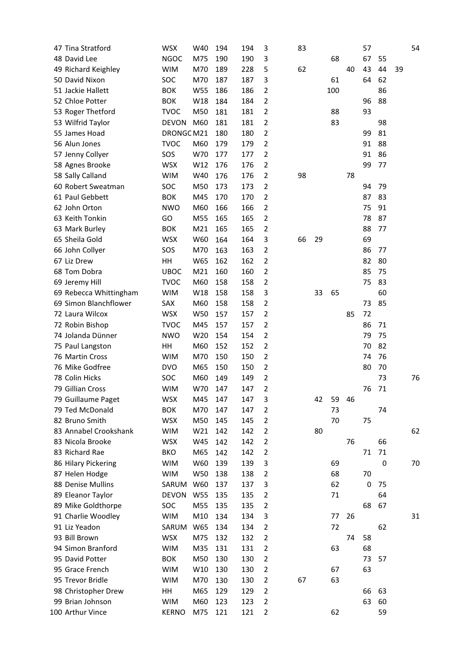| 47 Tina Stratford   | <b>WSX</b>                                                                                                                                                                                                                                                                                                                                                                                                                                                                                                                                                                                                                                                                                                                                                                                                                            | W40                                                                                                                                                                                                                                                                                                                                                                                                                                                                                                                                                              | 194                                                                                                                                                                                                                                                                                                             |                                                                                                                                                                                                                                                                                                    | 3                                                                                                                                                                                                                                                                                                                                                                                      | 83                                                                                                                                                                                                                                                                                                                                                                                                                                                                                                                                                                                                              |          |                      |                                                                             | 57                               |                                                                                                                                                                               |                                                                                                                                                                                                                             | 54 |
|---------------------|---------------------------------------------------------------------------------------------------------------------------------------------------------------------------------------------------------------------------------------------------------------------------------------------------------------------------------------------------------------------------------------------------------------------------------------------------------------------------------------------------------------------------------------------------------------------------------------------------------------------------------------------------------------------------------------------------------------------------------------------------------------------------------------------------------------------------------------|------------------------------------------------------------------------------------------------------------------------------------------------------------------------------------------------------------------------------------------------------------------------------------------------------------------------------------------------------------------------------------------------------------------------------------------------------------------------------------------------------------------------------------------------------------------|-----------------------------------------------------------------------------------------------------------------------------------------------------------------------------------------------------------------------------------------------------------------------------------------------------------------|----------------------------------------------------------------------------------------------------------------------------------------------------------------------------------------------------------------------------------------------------------------------------------------------------|----------------------------------------------------------------------------------------------------------------------------------------------------------------------------------------------------------------------------------------------------------------------------------------------------------------------------------------------------------------------------------------|-----------------------------------------------------------------------------------------------------------------------------------------------------------------------------------------------------------------------------------------------------------------------------------------------------------------------------------------------------------------------------------------------------------------------------------------------------------------------------------------------------------------------------------------------------------------------------------------------------------------|----------|----------------------|-----------------------------------------------------------------------------|----------------------------------|-------------------------------------------------------------------------------------------------------------------------------------------------------------------------------|-----------------------------------------------------------------------------------------------------------------------------------------------------------------------------------------------------------------------------|----|
| 48 David Lee        | <b>NGOC</b>                                                                                                                                                                                                                                                                                                                                                                                                                                                                                                                                                                                                                                                                                                                                                                                                                           | M75                                                                                                                                                                                                                                                                                                                                                                                                                                                                                                                                                              | 190                                                                                                                                                                                                                                                                                                             |                                                                                                                                                                                                                                                                                                    | 3                                                                                                                                                                                                                                                                                                                                                                                      |                                                                                                                                                                                                                                                                                                                                                                                                                                                                                                                                                                                                                 |          | 68                   |                                                                             | 67                               | 55                                                                                                                                                                            |                                                                                                                                                                                                                             |    |
| 49 Richard Keighley |                                                                                                                                                                                                                                                                                                                                                                                                                                                                                                                                                                                                                                                                                                                                                                                                                                       | M70                                                                                                                                                                                                                                                                                                                                                                                                                                                                                                                                                              | 189                                                                                                                                                                                                                                                                                                             |                                                                                                                                                                                                                                                                                                    | 5                                                                                                                                                                                                                                                                                                                                                                                      | 62                                                                                                                                                                                                                                                                                                                                                                                                                                                                                                                                                                                                              |          |                      | 40                                                                          | 43                               |                                                                                                                                                                               | 39                                                                                                                                                                                                                          |    |
| 50 David Nixon      | SOC                                                                                                                                                                                                                                                                                                                                                                                                                                                                                                                                                                                                                                                                                                                                                                                                                                   | M70                                                                                                                                                                                                                                                                                                                                                                                                                                                                                                                                                              | 187                                                                                                                                                                                                                                                                                                             |                                                                                                                                                                                                                                                                                                    | 3                                                                                                                                                                                                                                                                                                                                                                                      |                                                                                                                                                                                                                                                                                                                                                                                                                                                                                                                                                                                                                 |          | 61                   |                                                                             | 64                               |                                                                                                                                                                               |                                                                                                                                                                                                                             |    |
| 51 Jackie Hallett   | <b>BOK</b>                                                                                                                                                                                                                                                                                                                                                                                                                                                                                                                                                                                                                                                                                                                                                                                                                            | W55                                                                                                                                                                                                                                                                                                                                                                                                                                                                                                                                                              | 186                                                                                                                                                                                                                                                                                                             |                                                                                                                                                                                                                                                                                                    | $\overline{2}$                                                                                                                                                                                                                                                                                                                                                                         |                                                                                                                                                                                                                                                                                                                                                                                                                                                                                                                                                                                                                 |          |                      |                                                                             |                                  | 86                                                                                                                                                                            |                                                                                                                                                                                                                             |    |
| 52 Chloe Potter     | <b>BOK</b>                                                                                                                                                                                                                                                                                                                                                                                                                                                                                                                                                                                                                                                                                                                                                                                                                            | W18                                                                                                                                                                                                                                                                                                                                                                                                                                                                                                                                                              | 184                                                                                                                                                                                                                                                                                                             |                                                                                                                                                                                                                                                                                                    | 2                                                                                                                                                                                                                                                                                                                                                                                      |                                                                                                                                                                                                                                                                                                                                                                                                                                                                                                                                                                                                                 |          |                      |                                                                             | 96                               |                                                                                                                                                                               |                                                                                                                                                                                                                             |    |
|                     | <b>TVOC</b>                                                                                                                                                                                                                                                                                                                                                                                                                                                                                                                                                                                                                                                                                                                                                                                                                           | M50                                                                                                                                                                                                                                                                                                                                                                                                                                                                                                                                                              |                                                                                                                                                                                                                                                                                                                 |                                                                                                                                                                                                                                                                                                    | $\overline{2}$                                                                                                                                                                                                                                                                                                                                                                         |                                                                                                                                                                                                                                                                                                                                                                                                                                                                                                                                                                                                                 |          | 88                   |                                                                             | 93                               |                                                                                                                                                                               |                                                                                                                                                                                                                             |    |
|                     |                                                                                                                                                                                                                                                                                                                                                                                                                                                                                                                                                                                                                                                                                                                                                                                                                                       |                                                                                                                                                                                                                                                                                                                                                                                                                                                                                                                                                                  |                                                                                                                                                                                                                                                                                                                 |                                                                                                                                                                                                                                                                                                    |                                                                                                                                                                                                                                                                                                                                                                                        |                                                                                                                                                                                                                                                                                                                                                                                                                                                                                                                                                                                                                 |          |                      |                                                                             |                                  |                                                                                                                                                                               |                                                                                                                                                                                                                             |    |
|                     |                                                                                                                                                                                                                                                                                                                                                                                                                                                                                                                                                                                                                                                                                                                                                                                                                                       |                                                                                                                                                                                                                                                                                                                                                                                                                                                                                                                                                                  |                                                                                                                                                                                                                                                                                                                 |                                                                                                                                                                                                                                                                                                    |                                                                                                                                                                                                                                                                                                                                                                                        |                                                                                                                                                                                                                                                                                                                                                                                                                                                                                                                                                                                                                 |          |                      |                                                                             |                                  |                                                                                                                                                                               |                                                                                                                                                                                                                             |    |
|                     |                                                                                                                                                                                                                                                                                                                                                                                                                                                                                                                                                                                                                                                                                                                                                                                                                                       |                                                                                                                                                                                                                                                                                                                                                                                                                                                                                                                                                                  |                                                                                                                                                                                                                                                                                                                 |                                                                                                                                                                                                                                                                                                    |                                                                                                                                                                                                                                                                                                                                                                                        |                                                                                                                                                                                                                                                                                                                                                                                                                                                                                                                                                                                                                 |          |                      |                                                                             |                                  |                                                                                                                                                                               |                                                                                                                                                                                                                             |    |
|                     |                                                                                                                                                                                                                                                                                                                                                                                                                                                                                                                                                                                                                                                                                                                                                                                                                                       |                                                                                                                                                                                                                                                                                                                                                                                                                                                                                                                                                                  |                                                                                                                                                                                                                                                                                                                 |                                                                                                                                                                                                                                                                                                    |                                                                                                                                                                                                                                                                                                                                                                                        |                                                                                                                                                                                                                                                                                                                                                                                                                                                                                                                                                                                                                 |          |                      |                                                                             |                                  |                                                                                                                                                                               |                                                                                                                                                                                                                             |    |
|                     |                                                                                                                                                                                                                                                                                                                                                                                                                                                                                                                                                                                                                                                                                                                                                                                                                                       |                                                                                                                                                                                                                                                                                                                                                                                                                                                                                                                                                                  |                                                                                                                                                                                                                                                                                                                 |                                                                                                                                                                                                                                                                                                    |                                                                                                                                                                                                                                                                                                                                                                                        |                                                                                                                                                                                                                                                                                                                                                                                                                                                                                                                                                                                                                 |          |                      |                                                                             |                                  |                                                                                                                                                                               |                                                                                                                                                                                                                             |    |
|                     |                                                                                                                                                                                                                                                                                                                                                                                                                                                                                                                                                                                                                                                                                                                                                                                                                                       |                                                                                                                                                                                                                                                                                                                                                                                                                                                                                                                                                                  |                                                                                                                                                                                                                                                                                                                 |                                                                                                                                                                                                                                                                                                    |                                                                                                                                                                                                                                                                                                                                                                                        |                                                                                                                                                                                                                                                                                                                                                                                                                                                                                                                                                                                                                 |          |                      |                                                                             |                                  |                                                                                                                                                                               |                                                                                                                                                                                                                             |    |
|                     |                                                                                                                                                                                                                                                                                                                                                                                                                                                                                                                                                                                                                                                                                                                                                                                                                                       |                                                                                                                                                                                                                                                                                                                                                                                                                                                                                                                                                                  |                                                                                                                                                                                                                                                                                                                 |                                                                                                                                                                                                                                                                                                    |                                                                                                                                                                                                                                                                                                                                                                                        |                                                                                                                                                                                                                                                                                                                                                                                                                                                                                                                                                                                                                 |          |                      |                                                                             |                                  |                                                                                                                                                                               |                                                                                                                                                                                                                             |    |
|                     |                                                                                                                                                                                                                                                                                                                                                                                                                                                                                                                                                                                                                                                                                                                                                                                                                                       |                                                                                                                                                                                                                                                                                                                                                                                                                                                                                                                                                                  |                                                                                                                                                                                                                                                                                                                 |                                                                                                                                                                                                                                                                                                    |                                                                                                                                                                                                                                                                                                                                                                                        |                                                                                                                                                                                                                                                                                                                                                                                                                                                                                                                                                                                                                 |          |                      |                                                                             |                                  |                                                                                                                                                                               |                                                                                                                                                                                                                             |    |
|                     |                                                                                                                                                                                                                                                                                                                                                                                                                                                                                                                                                                                                                                                                                                                                                                                                                                       |                                                                                                                                                                                                                                                                                                                                                                                                                                                                                                                                                                  |                                                                                                                                                                                                                                                                                                                 |                                                                                                                                                                                                                                                                                                    |                                                                                                                                                                                                                                                                                                                                                                                        |                                                                                                                                                                                                                                                                                                                                                                                                                                                                                                                                                                                                                 |          |                      |                                                                             |                                  |                                                                                                                                                                               |                                                                                                                                                                                                                             |    |
|                     |                                                                                                                                                                                                                                                                                                                                                                                                                                                                                                                                                                                                                                                                                                                                                                                                                                       |                                                                                                                                                                                                                                                                                                                                                                                                                                                                                                                                                                  |                                                                                                                                                                                                                                                                                                                 |                                                                                                                                                                                                                                                                                                    |                                                                                                                                                                                                                                                                                                                                                                                        |                                                                                                                                                                                                                                                                                                                                                                                                                                                                                                                                                                                                                 |          |                      |                                                                             |                                  |                                                                                                                                                                               |                                                                                                                                                                                                                             |    |
|                     |                                                                                                                                                                                                                                                                                                                                                                                                                                                                                                                                                                                                                                                                                                                                                                                                                                       |                                                                                                                                                                                                                                                                                                                                                                                                                                                                                                                                                                  |                                                                                                                                                                                                                                                                                                                 |                                                                                                                                                                                                                                                                                                    |                                                                                                                                                                                                                                                                                                                                                                                        |                                                                                                                                                                                                                                                                                                                                                                                                                                                                                                                                                                                                                 |          |                      |                                                                             |                                  |                                                                                                                                                                               |                                                                                                                                                                                                                             |    |
|                     |                                                                                                                                                                                                                                                                                                                                                                                                                                                                                                                                                                                                                                                                                                                                                                                                                                       |                                                                                                                                                                                                                                                                                                                                                                                                                                                                                                                                                                  |                                                                                                                                                                                                                                                                                                                 |                                                                                                                                                                                                                                                                                                    |                                                                                                                                                                                                                                                                                                                                                                                        |                                                                                                                                                                                                                                                                                                                                                                                                                                                                                                                                                                                                                 |          |                      |                                                                             |                                  |                                                                                                                                                                               |                                                                                                                                                                                                                             |    |
|                     |                                                                                                                                                                                                                                                                                                                                                                                                                                                                                                                                                                                                                                                                                                                                                                                                                                       |                                                                                                                                                                                                                                                                                                                                                                                                                                                                                                                                                                  |                                                                                                                                                                                                                                                                                                                 |                                                                                                                                                                                                                                                                                                    |                                                                                                                                                                                                                                                                                                                                                                                        |                                                                                                                                                                                                                                                                                                                                                                                                                                                                                                                                                                                                                 |          |                      |                                                                             |                                  |                                                                                                                                                                               |                                                                                                                                                                                                                             |    |
|                     |                                                                                                                                                                                                                                                                                                                                                                                                                                                                                                                                                                                                                                                                                                                                                                                                                                       |                                                                                                                                                                                                                                                                                                                                                                                                                                                                                                                                                                  |                                                                                                                                                                                                                                                                                                                 |                                                                                                                                                                                                                                                                                                    |                                                                                                                                                                                                                                                                                                                                                                                        |                                                                                                                                                                                                                                                                                                                                                                                                                                                                                                                                                                                                                 |          |                      |                                                                             |                                  |                                                                                                                                                                               |                                                                                                                                                                                                                             |    |
|                     |                                                                                                                                                                                                                                                                                                                                                                                                                                                                                                                                                                                                                                                                                                                                                                                                                                       |                                                                                                                                                                                                                                                                                                                                                                                                                                                                                                                                                                  |                                                                                                                                                                                                                                                                                                                 |                                                                                                                                                                                                                                                                                                    |                                                                                                                                                                                                                                                                                                                                                                                        |                                                                                                                                                                                                                                                                                                                                                                                                                                                                                                                                                                                                                 |          |                      |                                                                             |                                  |                                                                                                                                                                               |                                                                                                                                                                                                                             |    |
|                     |                                                                                                                                                                                                                                                                                                                                                                                                                                                                                                                                                                                                                                                                                                                                                                                                                                       |                                                                                                                                                                                                                                                                                                                                                                                                                                                                                                                                                                  |                                                                                                                                                                                                                                                                                                                 |                                                                                                                                                                                                                                                                                                    |                                                                                                                                                                                                                                                                                                                                                                                        |                                                                                                                                                                                                                                                                                                                                                                                                                                                                                                                                                                                                                 |          |                      |                                                                             |                                  |                                                                                                                                                                               |                                                                                                                                                                                                                             |    |
|                     |                                                                                                                                                                                                                                                                                                                                                                                                                                                                                                                                                                                                                                                                                                                                                                                                                                       |                                                                                                                                                                                                                                                                                                                                                                                                                                                                                                                                                                  |                                                                                                                                                                                                                                                                                                                 |                                                                                                                                                                                                                                                                                                    |                                                                                                                                                                                                                                                                                                                                                                                        |                                                                                                                                                                                                                                                                                                                                                                                                                                                                                                                                                                                                                 |          |                      |                                                                             |                                  |                                                                                                                                                                               |                                                                                                                                                                                                                             |    |
|                     |                                                                                                                                                                                                                                                                                                                                                                                                                                                                                                                                                                                                                                                                                                                                                                                                                                       |                                                                                                                                                                                                                                                                                                                                                                                                                                                                                                                                                                  |                                                                                                                                                                                                                                                                                                                 |                                                                                                                                                                                                                                                                                                    |                                                                                                                                                                                                                                                                                                                                                                                        |                                                                                                                                                                                                                                                                                                                                                                                                                                                                                                                                                                                                                 |          |                      |                                                                             |                                  |                                                                                                                                                                               |                                                                                                                                                                                                                             |    |
|                     |                                                                                                                                                                                                                                                                                                                                                                                                                                                                                                                                                                                                                                                                                                                                                                                                                                       |                                                                                                                                                                                                                                                                                                                                                                                                                                                                                                                                                                  |                                                                                                                                                                                                                                                                                                                 |                                                                                                                                                                                                                                                                                                    |                                                                                                                                                                                                                                                                                                                                                                                        |                                                                                                                                                                                                                                                                                                                                                                                                                                                                                                                                                                                                                 |          |                      |                                                                             |                                  |                                                                                                                                                                               |                                                                                                                                                                                                                             |    |
|                     |                                                                                                                                                                                                                                                                                                                                                                                                                                                                                                                                                                                                                                                                                                                                                                                                                                       |                                                                                                                                                                                                                                                                                                                                                                                                                                                                                                                                                                  |                                                                                                                                                                                                                                                                                                                 |                                                                                                                                                                                                                                                                                                    |                                                                                                                                                                                                                                                                                                                                                                                        |                                                                                                                                                                                                                                                                                                                                                                                                                                                                                                                                                                                                                 |          |                      |                                                                             |                                  |                                                                                                                                                                               |                                                                                                                                                                                                                             |    |
|                     |                                                                                                                                                                                                                                                                                                                                                                                                                                                                                                                                                                                                                                                                                                                                                                                                                                       |                                                                                                                                                                                                                                                                                                                                                                                                                                                                                                                                                                  |                                                                                                                                                                                                                                                                                                                 |                                                                                                                                                                                                                                                                                                    |                                                                                                                                                                                                                                                                                                                                                                                        |                                                                                                                                                                                                                                                                                                                                                                                                                                                                                                                                                                                                                 |          |                      |                                                                             |                                  |                                                                                                                                                                               |                                                                                                                                                                                                                             |    |
|                     |                                                                                                                                                                                                                                                                                                                                                                                                                                                                                                                                                                                                                                                                                                                                                                                                                                       |                                                                                                                                                                                                                                                                                                                                                                                                                                                                                                                                                                  |                                                                                                                                                                                                                                                                                                                 |                                                                                                                                                                                                                                                                                                    |                                                                                                                                                                                                                                                                                                                                                                                        |                                                                                                                                                                                                                                                                                                                                                                                                                                                                                                                                                                                                                 |          |                      |                                                                             |                                  |                                                                                                                                                                               |                                                                                                                                                                                                                             |    |
|                     |                                                                                                                                                                                                                                                                                                                                                                                                                                                                                                                                                                                                                                                                                                                                                                                                                                       |                                                                                                                                                                                                                                                                                                                                                                                                                                                                                                                                                                  |                                                                                                                                                                                                                                                                                                                 |                                                                                                                                                                                                                                                                                                    |                                                                                                                                                                                                                                                                                                                                                                                        |                                                                                                                                                                                                                                                                                                                                                                                                                                                                                                                                                                                                                 |          |                      |                                                                             |                                  |                                                                                                                                                                               |                                                                                                                                                                                                                             |    |
|                     |                                                                                                                                                                                                                                                                                                                                                                                                                                                                                                                                                                                                                                                                                                                                                                                                                                       |                                                                                                                                                                                                                                                                                                                                                                                                                                                                                                                                                                  |                                                                                                                                                                                                                                                                                                                 |                                                                                                                                                                                                                                                                                                    |                                                                                                                                                                                                                                                                                                                                                                                        |                                                                                                                                                                                                                                                                                                                                                                                                                                                                                                                                                                                                                 |          |                      |                                                                             |                                  |                                                                                                                                                                               |                                                                                                                                                                                                                             |    |
|                     |                                                                                                                                                                                                                                                                                                                                                                                                                                                                                                                                                                                                                                                                                                                                                                                                                                       |                                                                                                                                                                                                                                                                                                                                                                                                                                                                                                                                                                  |                                                                                                                                                                                                                                                                                                                 |                                                                                                                                                                                                                                                                                                    |                                                                                                                                                                                                                                                                                                                                                                                        |                                                                                                                                                                                                                                                                                                                                                                                                                                                                                                                                                                                                                 |          |                      |                                                                             |                                  |                                                                                                                                                                               |                                                                                                                                                                                                                             |    |
|                     |                                                                                                                                                                                                                                                                                                                                                                                                                                                                                                                                                                                                                                                                                                                                                                                                                                       |                                                                                                                                                                                                                                                                                                                                                                                                                                                                                                                                                                  |                                                                                                                                                                                                                                                                                                                 |                                                                                                                                                                                                                                                                                                    |                                                                                                                                                                                                                                                                                                                                                                                        |                                                                                                                                                                                                                                                                                                                                                                                                                                                                                                                                                                                                                 |          |                      |                                                                             |                                  |                                                                                                                                                                               |                                                                                                                                                                                                                             | 76 |
|                     |                                                                                                                                                                                                                                                                                                                                                                                                                                                                                                                                                                                                                                                                                                                                                                                                                                       |                                                                                                                                                                                                                                                                                                                                                                                                                                                                                                                                                                  |                                                                                                                                                                                                                                                                                                                 |                                                                                                                                                                                                                                                                                                    |                                                                                                                                                                                                                                                                                                                                                                                        |                                                                                                                                                                                                                                                                                                                                                                                                                                                                                                                                                                                                                 |          |                      |                                                                             |                                  |                                                                                                                                                                               |                                                                                                                                                                                                                             |    |
|                     |                                                                                                                                                                                                                                                                                                                                                                                                                                                                                                                                                                                                                                                                                                                                                                                                                                       |                                                                                                                                                                                                                                                                                                                                                                                                                                                                                                                                                                  |                                                                                                                                                                                                                                                                                                                 |                                                                                                                                                                                                                                                                                                    |                                                                                                                                                                                                                                                                                                                                                                                        |                                                                                                                                                                                                                                                                                                                                                                                                                                                                                                                                                                                                                 |          |                      |                                                                             |                                  |                                                                                                                                                                               |                                                                                                                                                                                                                             |    |
|                     |                                                                                                                                                                                                                                                                                                                                                                                                                                                                                                                                                                                                                                                                                                                                                                                                                                       |                                                                                                                                                                                                                                                                                                                                                                                                                                                                                                                                                                  |                                                                                                                                                                                                                                                                                                                 |                                                                                                                                                                                                                                                                                                    |                                                                                                                                                                                                                                                                                                                                                                                        |                                                                                                                                                                                                                                                                                                                                                                                                                                                                                                                                                                                                                 |          |                      |                                                                             |                                  |                                                                                                                                                                               |                                                                                                                                                                                                                             |    |
|                     |                                                                                                                                                                                                                                                                                                                                                                                                                                                                                                                                                                                                                                                                                                                                                                                                                                       |                                                                                                                                                                                                                                                                                                                                                                                                                                                                                                                                                                  |                                                                                                                                                                                                                                                                                                                 |                                                                                                                                                                                                                                                                                                    |                                                                                                                                                                                                                                                                                                                                                                                        |                                                                                                                                                                                                                                                                                                                                                                                                                                                                                                                                                                                                                 |          |                      |                                                                             |                                  |                                                                                                                                                                               |                                                                                                                                                                                                                             |    |
|                     |                                                                                                                                                                                                                                                                                                                                                                                                                                                                                                                                                                                                                                                                                                                                                                                                                                       |                                                                                                                                                                                                                                                                                                                                                                                                                                                                                                                                                                  |                                                                                                                                                                                                                                                                                                                 |                                                                                                                                                                                                                                                                                                    |                                                                                                                                                                                                                                                                                                                                                                                        |                                                                                                                                                                                                                                                                                                                                                                                                                                                                                                                                                                                                                 |          |                      |                                                                             |                                  |                                                                                                                                                                               |                                                                                                                                                                                                                             | 62 |
|                     |                                                                                                                                                                                                                                                                                                                                                                                                                                                                                                                                                                                                                                                                                                                                                                                                                                       |                                                                                                                                                                                                                                                                                                                                                                                                                                                                                                                                                                  |                                                                                                                                                                                                                                                                                                                 |                                                                                                                                                                                                                                                                                                    |                                                                                                                                                                                                                                                                                                                                                                                        |                                                                                                                                                                                                                                                                                                                                                                                                                                                                                                                                                                                                                 |          |                      |                                                                             |                                  |                                                                                                                                                                               |                                                                                                                                                                                                                             |    |
|                     |                                                                                                                                                                                                                                                                                                                                                                                                                                                                                                                                                                                                                                                                                                                                                                                                                                       |                                                                                                                                                                                                                                                                                                                                                                                                                                                                                                                                                                  |                                                                                                                                                                                                                                                                                                                 |                                                                                                                                                                                                                                                                                                    |                                                                                                                                                                                                                                                                                                                                                                                        |                                                                                                                                                                                                                                                                                                                                                                                                                                                                                                                                                                                                                 |          |                      |                                                                             |                                  |                                                                                                                                                                               |                                                                                                                                                                                                                             |    |
|                     |                                                                                                                                                                                                                                                                                                                                                                                                                                                                                                                                                                                                                                                                                                                                                                                                                                       |                                                                                                                                                                                                                                                                                                                                                                                                                                                                                                                                                                  |                                                                                                                                                                                                                                                                                                                 |                                                                                                                                                                                                                                                                                                    |                                                                                                                                                                                                                                                                                                                                                                                        |                                                                                                                                                                                                                                                                                                                                                                                                                                                                                                                                                                                                                 |          |                      |                                                                             |                                  |                                                                                                                                                                               |                                                                                                                                                                                                                             | 70 |
|                     |                                                                                                                                                                                                                                                                                                                                                                                                                                                                                                                                                                                                                                                                                                                                                                                                                                       |                                                                                                                                                                                                                                                                                                                                                                                                                                                                                                                                                                  |                                                                                                                                                                                                                                                                                                                 |                                                                                                                                                                                                                                                                                                    |                                                                                                                                                                                                                                                                                                                                                                                        |                                                                                                                                                                                                                                                                                                                                                                                                                                                                                                                                                                                                                 |          |                      |                                                                             |                                  |                                                                                                                                                                               |                                                                                                                                                                                                                             |    |
|                     |                                                                                                                                                                                                                                                                                                                                                                                                                                                                                                                                                                                                                                                                                                                                                                                                                                       |                                                                                                                                                                                                                                                                                                                                                                                                                                                                                                                                                                  |                                                                                                                                                                                                                                                                                                                 |                                                                                                                                                                                                                                                                                                    |                                                                                                                                                                                                                                                                                                                                                                                        |                                                                                                                                                                                                                                                                                                                                                                                                                                                                                                                                                                                                                 |          |                      |                                                                             |                                  |                                                                                                                                                                               |                                                                                                                                                                                                                             |    |
|                     |                                                                                                                                                                                                                                                                                                                                                                                                                                                                                                                                                                                                                                                                                                                                                                                                                                       |                                                                                                                                                                                                                                                                                                                                                                                                                                                                                                                                                                  |                                                                                                                                                                                                                                                                                                                 |                                                                                                                                                                                                                                                                                                    |                                                                                                                                                                                                                                                                                                                                                                                        |                                                                                                                                                                                                                                                                                                                                                                                                                                                                                                                                                                                                                 |          |                      |                                                                             |                                  |                                                                                                                                                                               |                                                                                                                                                                                                                             |    |
|                     |                                                                                                                                                                                                                                                                                                                                                                                                                                                                                                                                                                                                                                                                                                                                                                                                                                       |                                                                                                                                                                                                                                                                                                                                                                                                                                                                                                                                                                  |                                                                                                                                                                                                                                                                                                                 |                                                                                                                                                                                                                                                                                                    |                                                                                                                                                                                                                                                                                                                                                                                        |                                                                                                                                                                                                                                                                                                                                                                                                                                                                                                                                                                                                                 |          |                      |                                                                             |                                  |                                                                                                                                                                               |                                                                                                                                                                                                                             |    |
|                     |                                                                                                                                                                                                                                                                                                                                                                                                                                                                                                                                                                                                                                                                                                                                                                                                                                       |                                                                                                                                                                                                                                                                                                                                                                                                                                                                                                                                                                  |                                                                                                                                                                                                                                                                                                                 |                                                                                                                                                                                                                                                                                                    |                                                                                                                                                                                                                                                                                                                                                                                        |                                                                                                                                                                                                                                                                                                                                                                                                                                                                                                                                                                                                                 |          |                      |                                                                             |                                  |                                                                                                                                                                               |                                                                                                                                                                                                                             | 31 |
| 91 Liz Yeadon       |                                                                                                                                                                                                                                                                                                                                                                                                                                                                                                                                                                                                                                                                                                                                                                                                                                       |                                                                                                                                                                                                                                                                                                                                                                                                                                                                                                                                                                  |                                                                                                                                                                                                                                                                                                                 |                                                                                                                                                                                                                                                                                                    |                                                                                                                                                                                                                                                                                                                                                                                        |                                                                                                                                                                                                                                                                                                                                                                                                                                                                                                                                                                                                                 |          |                      |                                                                             |                                  |                                                                                                                                                                               |                                                                                                                                                                                                                             |    |
|                     |                                                                                                                                                                                                                                                                                                                                                                                                                                                                                                                                                                                                                                                                                                                                                                                                                                       |                                                                                                                                                                                                                                                                                                                                                                                                                                                                                                                                                                  |                                                                                                                                                                                                                                                                                                                 |                                                                                                                                                                                                                                                                                                    |                                                                                                                                                                                                                                                                                                                                                                                        |                                                                                                                                                                                                                                                                                                                                                                                                                                                                                                                                                                                                                 |          |                      |                                                                             | 58                               |                                                                                                                                                                               |                                                                                                                                                                                                                             |    |
|                     |                                                                                                                                                                                                                                                                                                                                                                                                                                                                                                                                                                                                                                                                                                                                                                                                                                       |                                                                                                                                                                                                                                                                                                                                                                                                                                                                                                                                                                  |                                                                                                                                                                                                                                                                                                                 |                                                                                                                                                                                                                                                                                                    |                                                                                                                                                                                                                                                                                                                                                                                        |                                                                                                                                                                                                                                                                                                                                                                                                                                                                                                                                                                                                                 |          |                      |                                                                             |                                  |                                                                                                                                                                               |                                                                                                                                                                                                                             |    |
| 95 David Potter     |                                                                                                                                                                                                                                                                                                                                                                                                                                                                                                                                                                                                                                                                                                                                                                                                                                       |                                                                                                                                                                                                                                                                                                                                                                                                                                                                                                                                                                  | 130                                                                                                                                                                                                                                                                                                             |                                                                                                                                                                                                                                                                                                    | $\overline{2}$                                                                                                                                                                                                                                                                                                                                                                         |                                                                                                                                                                                                                                                                                                                                                                                                                                                                                                                                                                                                                 |          |                      |                                                                             | 73                               | 57                                                                                                                                                                            |                                                                                                                                                                                                                             |    |
| 95 Grace French     |                                                                                                                                                                                                                                                                                                                                                                                                                                                                                                                                                                                                                                                                                                                                                                                                                                       | W10                                                                                                                                                                                                                                                                                                                                                                                                                                                                                                                                                              | 130                                                                                                                                                                                                                                                                                                             |                                                                                                                                                                                                                                                                                                    | $\overline{2}$                                                                                                                                                                                                                                                                                                                                                                         |                                                                                                                                                                                                                                                                                                                                                                                                                                                                                                                                                                                                                 |          | 67                   |                                                                             | 63                               |                                                                                                                                                                               |                                                                                                                                                                                                                             |    |
| 95 Trevor Bridle    |                                                                                                                                                                                                                                                                                                                                                                                                                                                                                                                                                                                                                                                                                                                                                                                                                                       | M70                                                                                                                                                                                                                                                                                                                                                                                                                                                                                                                                                              | 130                                                                                                                                                                                                                                                                                                             |                                                                                                                                                                                                                                                                                                    | $\overline{2}$                                                                                                                                                                                                                                                                                                                                                                         | 67                                                                                                                                                                                                                                                                                                                                                                                                                                                                                                                                                                                                              |          | 63                   |                                                                             |                                  |                                                                                                                                                                               |                                                                                                                                                                                                                             |    |
| 98 Christopher Drew | HH                                                                                                                                                                                                                                                                                                                                                                                                                                                                                                                                                                                                                                                                                                                                                                                                                                    | M65                                                                                                                                                                                                                                                                                                                                                                                                                                                                                                                                                              | 129                                                                                                                                                                                                                                                                                                             |                                                                                                                                                                                                                                                                                                    | $\overline{2}$                                                                                                                                                                                                                                                                                                                                                                         |                                                                                                                                                                                                                                                                                                                                                                                                                                                                                                                                                                                                                 |          |                      |                                                                             | 66                               |                                                                                                                                                                               |                                                                                                                                                                                                                             |    |
| 99 Brian Johnson    | <b>WIM</b>                                                                                                                                                                                                                                                                                                                                                                                                                                                                                                                                                                                                                                                                                                                                                                                                                            | M60                                                                                                                                                                                                                                                                                                                                                                                                                                                                                                                                                              | 123                                                                                                                                                                                                                                                                                                             |                                                                                                                                                                                                                                                                                                    | $\overline{2}$                                                                                                                                                                                                                                                                                                                                                                         |                                                                                                                                                                                                                                                                                                                                                                                                                                                                                                                                                                                                                 |          |                      |                                                                             | 63                               |                                                                                                                                                                               |                                                                                                                                                                                                                             |    |
| 100 Arthur Vince    | <b>KERNO</b>                                                                                                                                                                                                                                                                                                                                                                                                                                                                                                                                                                                                                                                                                                                                                                                                                          | M75                                                                                                                                                                                                                                                                                                                                                                                                                                                                                                                                                              | 121                                                                                                                                                                                                                                                                                                             |                                                                                                                                                                                                                                                                                                    | $\overline{2}$                                                                                                                                                                                                                                                                                                                                                                         |                                                                                                                                                                                                                                                                                                                                                                                                                                                                                                                                                                                                                 |          | 62                   |                                                                             |                                  | 59                                                                                                                                                                            |                                                                                                                                                                                                                             |    |
|                     | 53 Roger Thetford<br>53 Wilfrid Taylor<br>55 James Hoad<br>56 Alun Jones<br>57 Jenny Collyer<br>58 Agnes Brooke<br>58 Sally Calland<br>60 Robert Sweatman<br>61 Paul Gebbett<br>62 John Orton<br>63 Keith Tonkin<br>63 Mark Burley<br>65 Sheila Gold<br>66 John Collyer<br>67 Liz Drew<br>68 Tom Dobra<br>69 Jeremy Hill<br>69 Rebecca Whittingham<br>69 Simon Blanchflower<br>72 Laura Wilcox<br>72 Robin Bishop<br>74 Jolanda Dünner<br>75 Paul Langston<br>76 Martin Cross<br>76 Mike Godfree<br>78 Colin Hicks<br>79 Gillian Cross<br>79 Guillaume Paget<br>79 Ted McDonald<br>82 Bruno Smith<br>83 Annabel Crookshank<br>83 Nicola Brooke<br>83 Richard Rae<br>86 Hilary Pickering<br>87 Helen Hodge<br>88 Denise Mullins<br>89 Eleanor Taylor<br>89 Mike Goldthorpe<br>91 Charlie Woodley<br>93 Bill Brown<br>94 Simon Branford | <b>WIM</b><br><b>DEVON</b><br><b>TVOC</b><br>SOS<br><b>WSX</b><br><b>WIM</b><br>SOC<br><b>BOK</b><br><b>NWO</b><br>GO<br><b>BOK</b><br><b>WSX</b><br>SOS<br>HH<br><b>UBOC</b><br><b>TVOC</b><br><b>WIM</b><br>SAX<br><b>WSX</b><br><b>TVOC</b><br><b>NWO</b><br>HH<br><b>WIM</b><br><b>DVO</b><br>SOC<br><b>WIM</b><br><b>WSX</b><br><b>BOK</b><br><b>WSX</b><br><b>WIM</b><br><b>WSX</b><br><b>BKO</b><br><b>WIM</b><br><b>WIM</b><br>SARUM<br><b>DEVON</b><br>SOC<br><b>WIM</b><br>SARUM<br><b>WSX</b><br><b>WIM</b><br><b>BOK</b><br><b>WIM</b><br><b>WIM</b> | M60<br>DRONGCM21<br>M60<br>W70<br>W12<br>W40<br>M50<br>M45<br>M60<br>M55<br>M21<br>W60<br>M70<br>W65<br>M21<br>M60<br>W18<br>M60<br>W50<br>M45<br>W20<br>M60<br>M70<br>M65<br>M60<br>W70<br>M45<br>M70<br>M50<br>W21<br>W45<br>M65<br>W60<br>W50<br>W60<br><b>W55</b><br>M55<br>M10<br>W65<br>M75<br>M35<br>M50 | 181<br>181<br>180<br>179<br>177<br>176<br>176<br>173<br>170<br>166<br>165<br>165<br>164<br>163<br>162<br>160<br>158<br>158<br>158<br>157<br>157<br>154<br>152<br>150<br>150<br>149<br>147<br>147<br>147<br>145<br>142<br>142<br>142<br>139<br>138<br>137<br>135<br>135<br>134<br>134<br>132<br>131 | 194<br>190<br>228<br>187<br>186<br>184<br>181<br>181<br>180<br>179<br>177<br>176<br>176<br>173<br>170<br>166<br>165<br>165<br>164<br>163<br>162<br>160<br>158<br>158<br>158<br>157<br>157<br>154<br>152<br>150<br>150<br>149<br>147<br>147<br>147<br>145<br>142<br>142<br>142<br>139<br>138<br>137<br>135<br>135<br>134<br>134<br>132<br>131<br>130<br>130<br>130<br>129<br>123<br>121 | $\overline{2}$<br>$\overline{2}$<br>$\overline{2}$<br>$\overline{2}$<br>$\overline{2}$<br>$\overline{2}$<br>2<br>$\overline{2}$<br>$\overline{2}$<br>$\overline{2}$<br>$\overline{2}$<br>3<br>2<br>2<br>$\overline{2}$<br>$\overline{2}$<br>3<br>$\overline{2}$<br>$\overline{2}$<br>2<br>$\overline{2}$<br>$\overline{2}$<br>$\overline{2}$<br>$\overline{2}$<br>$\overline{2}$<br>2<br>3<br>$\overline{2}$<br>$\overline{c}$<br>$\overline{2}$<br>$\overline{2}$<br>$\overline{2}$<br>3<br>$\overline{2}$<br>3<br>$\overline{2}$<br>$\overline{2}$<br>3<br>$\overline{2}$<br>$\overline{2}$<br>$\overline{2}$ | 98<br>66 | 29<br>33<br>42<br>80 | 100<br>83<br>65<br>59<br>73<br>70<br>69<br>68<br>62<br>71<br>77<br>72<br>63 | 78<br>85<br>46<br>76<br>26<br>74 | 99<br>91<br>91<br>99<br>94<br>87<br>75<br>78<br>88<br>69<br>86<br>82<br>85<br>75<br>73<br>72<br>86<br>79<br>70<br>74<br>80<br>76<br>75<br>71<br>70<br>$\mathbf 0$<br>68<br>68 | 44<br>62<br>88<br>98<br>81<br>88<br>86<br>77<br>79<br>83<br>91<br>87<br>77<br>77<br>80<br>75<br>83<br>60<br>85<br>71<br>75<br>82<br>76<br>70<br>73<br>71<br>74<br>66<br>71<br>$\pmb{0}$<br>75<br>64<br>67<br>62<br>63<br>60 |    |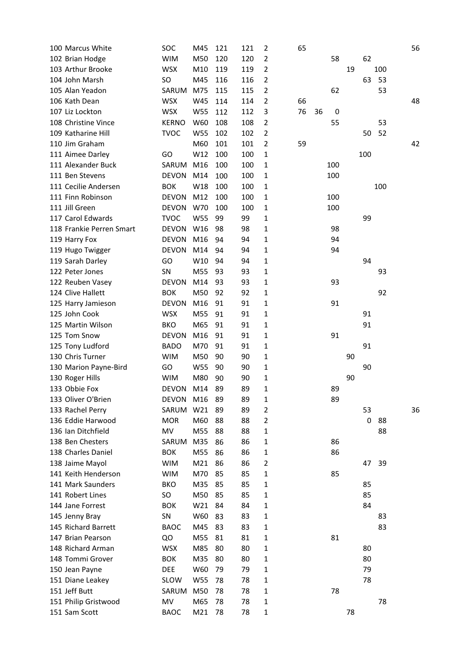| 100 Marcus White         | SOC          | M45        | 121 | 121 | $\overline{2}$ | 65 |    |     |    |     |     | 56 |
|--------------------------|--------------|------------|-----|-----|----------------|----|----|-----|----|-----|-----|----|
| 102 Brian Hodge          | <b>WIM</b>   | M50        | 120 | 120 | 2              |    |    | 58  |    | 62  |     |    |
| 103 Arthur Brooke        | <b>WSX</b>   | M10        | 119 | 119 | 2              |    |    |     | 19 |     | 100 |    |
| 104 John Marsh           | SO           | M45        | 116 | 116 | 2              |    |    |     |    | 63  | 53  |    |
| 105 Alan Yeadon          | SARUM        | M75        | 115 | 115 | 2              |    |    | 62  |    |     | 53  |    |
| 106 Kath Dean            | <b>WSX</b>   | W45        | 114 | 114 | $\overline{2}$ | 66 |    |     |    |     |     | 48 |
| 107 Liz Lockton          | <b>WSX</b>   | <b>W55</b> | 112 | 112 | 3              | 76 | 36 | 0   |    |     |     |    |
| 108 Christine Vince      | <b>KERNO</b> | W60        | 108 | 108 | 2              |    |    | 55  |    |     | 53  |    |
| 109 Katharine Hill       | <b>TVOC</b>  | <b>W55</b> | 102 | 102 | 2              |    |    |     |    | 50  | 52  |    |
| 110 Jim Graham           |              | M60        | 101 | 101 | $\overline{2}$ | 59 |    |     |    |     |     | 42 |
| 111 Aimee Darley         | GO           | W12        | 100 | 100 | 1              |    |    |     |    | 100 |     |    |
| 111 Alexander Buck       | SARUM        | M16        | 100 | 100 | 1              |    |    | 100 |    |     |     |    |
| 111 Ben Stevens          | <b>DEVON</b> | M14        | 100 | 100 | 1              |    |    | 100 |    |     |     |    |
| 111 Cecilie Andersen     | <b>BOK</b>   | W18        | 100 | 100 | 1              |    |    |     |    |     | 100 |    |
| 111 Finn Robinson        | <b>DEVON</b> | M12        | 100 | 100 | 1              |    |    | 100 |    |     |     |    |
| 111 Jill Green           | <b>DEVON</b> | W70        | 100 | 100 | 1              |    |    | 100 |    |     |     |    |
| 117 Carol Edwards        | <b>TVOC</b>  | <b>W55</b> | 99  | 99  | 1              |    |    |     |    | 99  |     |    |
| 118 Frankie Perren Smart | <b>DEVON</b> | W16        | 98  | 98  | 1              |    |    | 98  |    |     |     |    |
| 119 Harry Fox            | <b>DEVON</b> | M16        | 94  | 94  | 1              |    |    | 94  |    |     |     |    |
| 119 Hugo Twigger         | <b>DEVON</b> | M14        | 94  | 94  | 1              |    |    | 94  |    |     |     |    |
|                          | GO           | W10        |     |     |                |    |    |     |    | 94  |     |    |
| 119 Sarah Darley         |              |            | 94  | 94  | 1              |    |    |     |    |     |     |    |
| 122 Peter Jones          | SN           | M55        | 93  | 93  | 1              |    |    |     |    |     | 93  |    |
| 122 Reuben Vasey         | <b>DEVON</b> | M14        | 93  | 93  | 1              |    |    | 93  |    |     |     |    |
| 124 Clive Hallett        | <b>BOK</b>   | M50        | 92  | 92  | 1              |    |    |     |    |     | 92  |    |
| 125 Harry Jamieson       | <b>DEVON</b> | M16        | 91  | 91  | 1              |    |    | 91  |    |     |     |    |
| 125 John Cook            | <b>WSX</b>   | M55        | 91  | 91  | 1              |    |    |     |    | 91  |     |    |
| 125 Martin Wilson        | <b>BKO</b>   | M65        | 91  | 91  | 1              |    |    |     |    | 91  |     |    |
| 125 Tom Snow             | <b>DEVON</b> | M16        | 91  | 91  | 1              |    |    | 91  |    |     |     |    |
| 125 Tony Ludford         | <b>BADO</b>  | M70        | 91  | 91  | 1              |    |    |     |    | 91  |     |    |
| 130 Chris Turner         | <b>WIM</b>   | M50        | 90  | 90  | 1              |    |    |     | 90 |     |     |    |
| 130 Marion Payne-Bird    | GO           | <b>W55</b> | 90  | 90  | 1              |    |    |     |    | 90  |     |    |
| 130 Roger Hills          | <b>WIM</b>   | M80        | 90  | 90  | 1              |    |    |     | 90 |     |     |    |
| 133 Obbie Fox            | <b>DEVON</b> | M14        | 89  | 89  | 1              |    |    | 89  |    |     |     |    |
| 133 Oliver O'Brien       | <b>DEVON</b> | M16        | 89  | 89  | 1              |    |    | 89  |    |     |     |    |
| 133 Rachel Perry         | SARUM        | W21        | 89  | 89  | $\overline{2}$ |    |    |     |    | 53  |     | 36 |
| 136 Eddie Harwood        | <b>MOR</b>   | M60        | 88  | 88  | 2              |    |    |     |    | 0   | 88  |    |
| 136 Ian Ditchfield       | MV           | M55        | 88  | 88  | 1              |    |    |     |    |     | 88  |    |
| 138 Ben Chesters         | SARUM        | M35        | 86  | 86  | 1              |    |    | 86  |    |     |     |    |
| 138 Charles Daniel       | <b>BOK</b>   | M55        | 86  | 86  | 1              |    |    | 86  |    |     |     |    |
| 138 Jaime Mayol          | <b>WIM</b>   | M21        | 86  | 86  | 2              |    |    |     |    | 47  | 39  |    |
| 141 Keith Henderson      | <b>WIM</b>   | M70        | 85  | 85  | 1              |    |    | 85  |    |     |     |    |
| 141 Mark Saunders        | <b>BKO</b>   | M35        | 85  | 85  | 1              |    |    |     |    | 85  |     |    |
| 141 Robert Lines         | SO           | M50        | 85  | 85  | 1              |    |    |     |    | 85  |     |    |
| 144 Jane Forrest         | <b>BOK</b>   | W21        | 84  | 84  | 1              |    |    |     |    | 84  |     |    |
| 145 Jenny Bray           | SN           | W60        | 83  | 83  | 1              |    |    |     |    |     | 83  |    |
| 145 Richard Barrett      | <b>BAOC</b>  | M45        | 83  | 83  | 1              |    |    |     |    |     | 83  |    |
| 147 Brian Pearson        | QO           | M55        | 81  | 81  | 1              |    |    | 81  |    |     |     |    |
| 148 Richard Arman        | <b>WSX</b>   | M85        | 80  | 80  | 1              |    |    |     |    | 80  |     |    |
| 148 Tommi Grover         | <b>BOK</b>   | M35        | 80  | 80  | 1              |    |    |     |    | 80  |     |    |
| 150 Jean Payne           | <b>DEE</b>   | W60        | 79  | 79  | 1              |    |    |     |    | 79  |     |    |
| 151 Diane Leakey         | <b>SLOW</b>  | W55        | 78  | 78  | 1              |    |    |     |    | 78  |     |    |
| 151 Jeff Butt            | SARUM        | M50        | 78  | 78  | 1              |    |    | 78  |    |     |     |    |
| 151 Philip Gristwood     | MV           | M65        | 78  | 78  | 1              |    |    |     |    |     | 78  |    |
| 151 Sam Scott            | <b>BAOC</b>  | M21        | 78  | 78  | 1              |    |    |     | 78 |     |     |    |
|                          |              |            |     |     |                |    |    |     |    |     |     |    |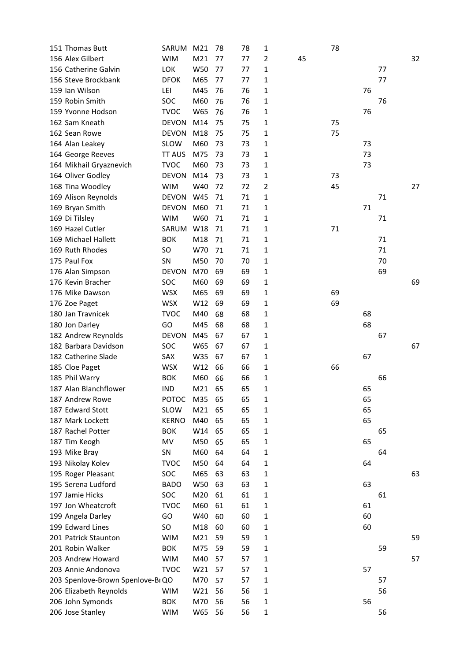| 151 Thomas Butt                       | SARUM         | M21             | 78 | 78 | 1      |    | 78 |    |    |    |
|---------------------------------------|---------------|-----------------|----|----|--------|----|----|----|----|----|
| 156 Alex Gilbert                      | <b>WIM</b>    | M <sub>21</sub> | 77 | 77 | 2      | 45 |    |    |    | 32 |
| 156 Catherine Galvin                  | LOK           | W50             | 77 | 77 | 1      |    |    |    | 77 |    |
| 156 Steve Brockbank                   | <b>DFOK</b>   | M65             | 77 | 77 | 1      |    |    |    | 77 |    |
| 159 Ian Wilson                        | LEI           | M45             | 76 | 76 | 1      |    |    | 76 |    |    |
| 159 Robin Smith                       | SOC           | M60             | 76 | 76 | 1      |    |    |    | 76 |    |
| 159 Yvonne Hodson                     | <b>TVOC</b>   | W65             | 76 | 76 | 1      |    |    | 76 |    |    |
| 162 Sam Kneath                        | <b>DEVON</b>  | M14             | 75 | 75 | 1      |    | 75 |    |    |    |
| 162 Sean Rowe                         | <b>DEVON</b>  | M18             | 75 | 75 | 1      |    | 75 |    |    |    |
| 164 Alan Leakey                       | SLOW          | M60             | 73 | 73 | 1      |    |    | 73 |    |    |
| 164 George Reeves                     | <b>TT AUS</b> | M75             | 73 | 73 | 1      |    |    | 73 |    |    |
| 164 Mikhail Gryaznevich               | <b>TVOC</b>   | M60             | 73 | 73 | 1      |    |    | 73 |    |    |
| 164 Oliver Godley                     | <b>DEVON</b>  | M14             | 73 | 73 | 1      |    | 73 |    |    |    |
| 168 Tina Woodley                      | <b>WIM</b>    | W40             | 72 | 72 | 2      |    | 45 |    |    | 27 |
| 169 Alison Reynolds                   | <b>DEVON</b>  | W45             | 71 | 71 | 1      |    |    |    | 71 |    |
| 169 Bryan Smith                       | <b>DEVON</b>  | M60             | 71 | 71 | 1      |    |    | 71 |    |    |
| 169 Di Tilsley                        | <b>WIM</b>    | W60             | 71 | 71 | 1      |    |    |    | 71 |    |
| 169 Hazel Cutler                      | SARUM         | W18             | 71 | 71 | 1      |    | 71 |    |    |    |
| 169 Michael Hallett                   | <b>BOK</b>    | M18             | 71 | 71 | 1      |    |    |    | 71 |    |
| 169 Ruth Rhodes                       | SO.           | W70             | 71 | 71 | 1      |    |    |    | 71 |    |
| 175 Paul Fox                          | SN            | M50             | 70 | 70 | 1      |    |    |    | 70 |    |
|                                       | <b>DEVON</b>  | M70             | 69 | 69 |        |    |    |    | 69 |    |
| 176 Alan Simpson<br>176 Kevin Bracher | SOC           | M60             | 69 | 69 | 1<br>1 |    |    |    |    | 69 |
|                                       |               |                 |    |    |        |    |    |    |    |    |
| 176 Mike Dawson                       | <b>WSX</b>    | M65             | 69 | 69 | 1      |    | 69 |    |    |    |
| 176 Zoe Paget                         | <b>WSX</b>    | W12             | 69 | 69 | 1      |    | 69 |    |    |    |
| 180 Jan Travnicek                     | <b>TVOC</b>   | M40             | 68 | 68 | 1      |    |    | 68 |    |    |
| 180 Jon Darley                        | GO            | M45             | 68 | 68 | 1      |    |    | 68 |    |    |
| 182 Andrew Reynolds                   | <b>DEVON</b>  | M45             | 67 | 67 | 1      |    |    |    | 67 |    |
| 182 Barbara Davidson                  | SOC           | W65             | 67 | 67 | 1      |    |    |    |    | 67 |
| 182 Catherine Slade                   | SAX           | W35             | 67 | 67 | 1      |    |    | 67 |    |    |
| 185 Cloe Paget                        | <b>WSX</b>    | W12             | 66 | 66 | 1      |    | 66 |    |    |    |
| 185 Phil Warry                        | <b>BOK</b>    | M60             | 66 | 66 | 1      |    |    |    | 66 |    |
| 187 Alan Blanchflower                 | <b>IND</b>    | M21             | 65 | 65 | 1      |    |    | 65 |    |    |
| 187 Andrew Rowe                       | <b>POTOC</b>  | M35             | 65 | 65 | 1      |    |    | 65 |    |    |
| 187 Edward Stott                      | SLOW          | M <sub>21</sub> | 65 | 65 | 1      |    |    | 65 |    |    |
| 187 Mark Lockett                      | <b>KERNO</b>  | M40             | 65 | 65 | 1      |    |    | 65 |    |    |
| 187 Rachel Potter                     | <b>BOK</b>    | W14             | 65 | 65 | 1      |    |    |    | 65 |    |
| 187 Tim Keogh                         | MV            | M50             | 65 | 65 | 1      |    |    | 65 |    |    |
| 193 Mike Bray                         | SN            | M60             | 64 | 64 | 1      |    |    |    | 64 |    |
| 193 Nikolay Kolev                     | <b>TVOC</b>   | M50             | 64 | 64 | 1      |    |    | 64 |    |    |
| 195 Roger Pleasant                    | SOC           | M65             | 63 | 63 | 1      |    |    |    |    | 63 |
| 195 Serena Ludford                    | <b>BADO</b>   | W50             | 63 | 63 | 1      |    |    | 63 |    |    |
| 197 Jamie Hicks                       | <b>SOC</b>    | M20             | 61 | 61 | 1      |    |    |    | 61 |    |
| 197 Jon Wheatcroft                    | <b>TVOC</b>   | M60             | 61 | 61 | 1      |    |    | 61 |    |    |
| 199 Angela Darley                     | GO            | W40             | 60 | 60 | 1      |    |    | 60 |    |    |
| 199 Edward Lines                      | SO            | M18             | 60 | 60 | 1      |    |    | 60 |    |    |
| 201 Patrick Staunton                  | <b>WIM</b>    | M21             | 59 | 59 | 1      |    |    |    |    | 59 |
| 201 Robin Walker                      | <b>BOK</b>    | M75             | 59 | 59 | 1      |    |    |    | 59 |    |
| 203 Andrew Howard                     | <b>WIM</b>    | M40             | 57 | 57 | 1      |    |    |    |    | 57 |
| 203 Annie Andonova                    | <b>TVOC</b>   | W21             | 57 | 57 | 1      |    |    | 57 |    |    |
| 203 Spenlove-Brown Spenlove-BI QO     |               | M70             | 57 | 57 | 1      |    |    |    | 57 |    |
| 206 Elizabeth Reynolds                | <b>WIM</b>    | W21             | 56 | 56 | 1      |    |    |    | 56 |    |
| 206 John Symonds                      | <b>BOK</b>    | M70             | 56 | 56 | 1      |    |    | 56 |    |    |
| 206 Jose Stanley                      | <b>WIM</b>    | W65             | 56 | 56 | 1      |    |    |    | 56 |    |